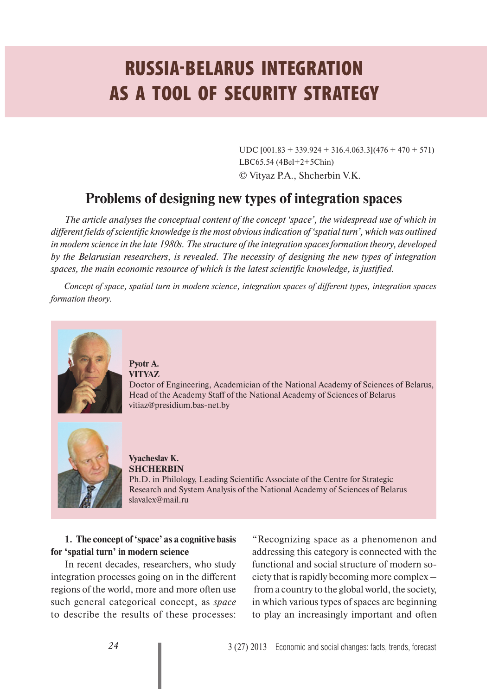# **RUSSIA-BELARUS INTEGRATION AS A TOOL OF SECURITY STRATEGY**

UDC  $[001.83 + 339.924 + 316.4.063.3](476 + 470 + 571)$  $LBC65.54 (4Bel+2+5Chin)$ © Vityaz P.A., Shcherbin V.K.

## **Problems of designing new types of integration spaces**

*The article analyses the conceptual content of the concept 'space', the widespread use of which in different fields of scientific knowledge is the most obvious indication of 'spatial turn', which was outlined in modern science in the late 1980s. The structure of the integration spaces formation theory, developed by the Belarusian researchers, is revealed. The necessity of designing the new types of integration spaces, the main economic resource of which is the latest scientific knowledge, is justified.*

*Concept of space, spatial turn in modern science, integration spaces of different types, integration spaces formation theory.*



#### **Pyotr A. VITYAZ**

Doctor of Engineering, Academician of the National Academy of Sciences of Belarus, Head of the Academy Staff of the National Academy of Sciences of Belarus vitiaz@presidium.bas-net.by



#### **Vyacheslav K. SHCHERBIN**

Ph.D. in Philology, Leading Scientific Associate of the Centre for Strategic Research and System Analysis of the National Academy of Sciences of Belarus slavalex@mail.ru

## **1. The concept of 'space' as a cognitive basis for 'spatial turn' in modern science**

In recent decades, researchers, who study integration processes going on in the different regions of the world, more and more often use such general categorical concept, as *space* to describe the results of these processes: "Recognizing space as a phenomenon and addressing this category is connected with the functional and social structure of modern society that is rapidly becoming more complex – from a country to the global world, the society, in which various types of spaces are beginning to play an increasingly important and often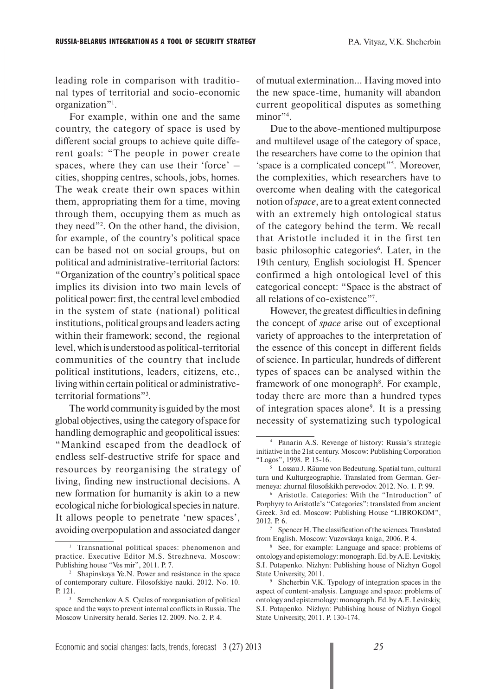leading role in comparison with traditional types of territorial and socio-economic organization"1 .

For example, within one and the same country, the category of space is used by different social groups to achieve quite different goals: "The people in power create spaces, where they can use their 'force' – cities, shopping centres, schools, jobs, homes. The weak create their own spaces within them, appropriating them for a time, moving through them, occupying them as much as they need"2 . On the other hand, the division, for example, of the country's political space can be based not on social groups, but on political and administrative-territorial factors: "Organization of the country's political space implies its division into two main levels of political power: first, the central level embodied in the system of state (national) political institutions, political groups and leaders acting within their framework; second, the regional level, which is understood as political-territorial communities of the country that include political institutions, leaders, citizens, etc., living within certain political or administrativeterritorial formations"3 .

The world community is guided by the most global objectives, using the category of space for handling demographic and geopolitical issues: "Mankind escaped from the deadlock of endless self-destructive strife for space and resources by reorganising the strategy of living, finding new instructional decisions. A new formation for humanity is akin to a new ecological niche for biological species in nature. It allows people to penetrate 'new spaces', avoiding overpopulation and associated danger

of mutual extermination... Having moved into the new space-time, humanity will abandon current geopolitical disputes as something minor"<sup>4</sup>.

Due to the above-mentioned multipurpose and multilevel usage of the category of space, the researchers have come to the opinion that 'space is a complicated concept"<sup>5</sup>. Moreover, the complexities, which researchers have to overcome when dealing with the categorical notion of *space*, are to a great extent connected with an extremely high ontological status of the category behind the term. We recall that Aristotle included it in the first ten basic philosophic categories<sup>6</sup>. Later, in the 19th century, English sociologist H. Spencer confirmed a high ontological level of this categorical concept: "Space is the abstract of all relations of co-existence"7 .

However, the greatest difficulties in defining the concept of *space* arise out of exceptional variety of approaches to the interpretation of the essence of this concept in different fields of science. In particular, hundreds of different types of spaces can be analysed within the framework of one monograph<sup>8</sup>. For example, today there are more than a hundred types of integration spaces alone9 . It is a pressing necessity of systematizing such typological

<sup>1</sup> Transnational political spaces: phenomenon and practice. Executive Editor M.S. Strezhneva. Moscow: Publishing house "Ves mir", 2011. P. 7.

<sup>2</sup> Shapinskaya Ye.N. Power and resistance in the space of contemporary culture. Filosofskiye nauki. 2012. No. 10. P. 121.

<sup>3</sup> Semchenkov A.S. Cycles of reorganisation of political space and the ways to prevent internal conflicts in Russia. The Moscow University herald. Series 12. 2009. No. 2. P. 4.

<sup>4</sup> Panarin A.S. Revenge of history: Russia's strategic initiative in the 21st century. Moscow: Publishing Corporation "Logos", 1998. P. 15-16.

<sup>5</sup> Lossau J. Räume von Bedeutung. Spatial turn, cultural turn und Kulturgeographie. Translated from German. Germeneya: zhurnal filosofskikh perevodov. 2012. No. 1. P. 99.

<sup>6</sup> Aristotle. Categories: With the "Introduction" of Porphyry to Aristotle's "Categories": translated from ancient Greek. 3rd ed. Moscow: Publishing House "LIBROKOM", 2012. P. 6. 7

<sup>&</sup>lt;sup>7</sup> Spencer H. The classification of the sciences. Translated from English. Moscow: Vuzovskaya kniga, 2006. P. 4.

<sup>8</sup> See, for example: Language and space: problems of ontology and epistemology: monograph. Ed. by A.E. Levitskiy, S.I. Potapenko. Nizhyn: Publishing house of Nizhyn Gogol State University, 2011.

<sup>9</sup> Shcherbin V.K. Typology of integration spaces in the aspect of content-analysis. Language and space: problems of ontology and epistemology: monograph. Ed. by A.E. Levitskiy, S.I. Potapenko. Nizhyn: Publishing house of Nizhyn Gogol State University, 2011. P. 130-174.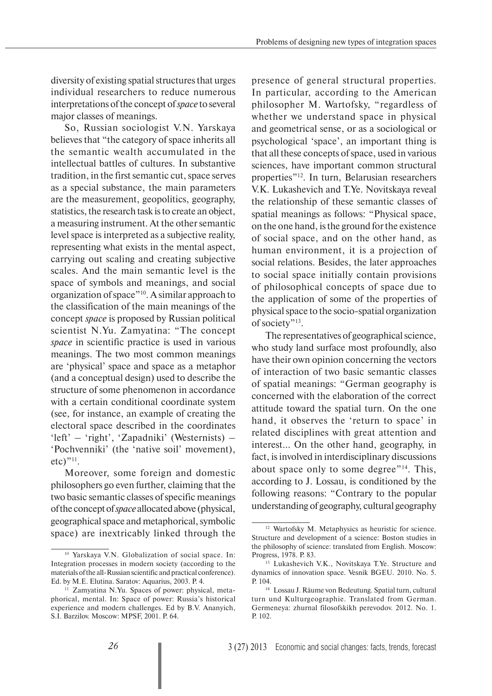diversity of existing spatial structures that urges individual researchers to reduce numerous interpretations of the concept of *space* to several major classes of meanings.

So, Russian sociologist V.N. Yarskaya believes that "the category of space inherits all the semantic wealth accumulated in the intellectual battles of cultures. In substantive tradition, in the first semantic cut, space serves as a special substance, the main parameters are the measurement, geopolitics, geography, statistics, the research task is to create an object, a measuring instrument. At the other semantic level space is interpreted as a subjective reality, representing what exists in the mental aspect, carrying out scaling and creating subjective scales. And the main semantic level is the space of symbols and meanings, and social organization of space"10. A similar approach to the classification of the main meanings of the concept *space* is proposed by Russian political scientist N.Yu. Zamyatina: "The concept *space* in scientific practice is used in various meanings. The two most common meanings are 'physical' space and space as a metaphor (and a conceptual design) used to describe the structure of some phenomenon in accordance with a certain conditional coordinate system (see, for instance, an example of creating the electoral space described in the coordinates 'left' – 'right', 'Zapadniki' (Westernists) – 'Pochvenniki' (the 'native soil' movement), etc)"11.

Moreover, some foreign and domestic philosophers go even further, claiming that the two basic semantic classes of specific meanings of the concept of *space* allocated above (physical, geographical space and metaphorical, symbolic space) are inextricably linked through the presence of general structural properties. In particular, according to the American philosopher M. Wartofsky, "regardless of whether we understand space in physical and geometrical sense, or as a sociological or psychological 'space', an important thing is that all these concepts of space, used in various sciences, have important common structural properties"12. In turn, Belarusian researchers V.K. Lukashevich and T.Ye. Novitskaya reveal the relationship of these semantic classes of spatial meanings as follows: "Physical space, on the one hand, is the ground for the existence of social space, and on the other hand, as human environment, it is a projection of social relations. Besides, the later approaches to social space initially contain provisions of philosophical concepts of space due to the application of some of the properties of physical space to the socio-spatial organization of society"<sup>13</sup>.

The representatives of geographical science, who study land surface most profoundly, also have their own opinion concerning the vectors of interaction of two basic semantic classes of spatial meanings: "German geography is concerned with the elaboration of the correct attitude toward the spatial turn. On the one hand, it observes the 'return to space' in related disciplines with great attention and interest… On the other hand, geography, in fact, is involved in interdisciplinary discussions about space only to some degree"14. This, according to J. Lossau, is conditioned by the following reasons: "Contrary to the popular understanding of geography, cultural geography

<sup>&</sup>lt;sup>10</sup> Yarskaya V.N. Globalization of social space. In: Integration processes in modern society (according to the materials of the all-Russian scientific and practical conference). Ed. by M.E. Elutina. Saratov: Aquarius, 2003. P. 4.

<sup>&</sup>lt;sup>11</sup> Zamyatina N.Yu. Spaces of power: physical, metaphorical, mental. In: Space of power: Russia's historical experience and modern challenges. Ed by B.V. Ananyich, S.I. Barzilov. Moscow: MPSF, 2001. P. 64.

<sup>12</sup> Wartofsky M. Metaphysics as heuristic for science. Structure and development of a science: Boston studies in the philosophy of science: translated from English. Moscow: Progress, 1978. P. 83.

<sup>13</sup> Lukashevich V.K., Novitskaya T.Ye. Structure and dynamics of innovation space. Vesnik BGEU. 2010. No. 5. P. 104.

<sup>14</sup> Lossau J. Räume von Bedeutung. Spatial turn, cultural turn und Kulturgeographie. Translated from German. Germeneya: zhurnal filosofskikh perevodov. 2012. No. 1. P. 102.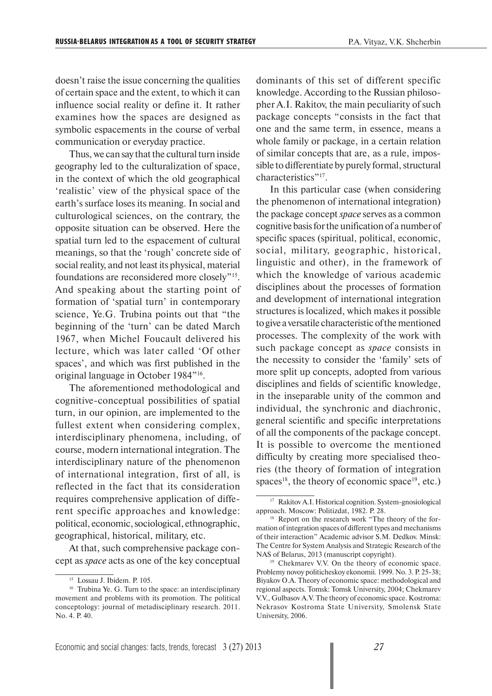doesn't raise the issue concerning the qualities of certain space and the extent, to which it can influence social reality or define it. It rather examines how the spaces are designed as symbolic espacements in the course of verbal communication or everyday practice.

Thus, we can say that the cultural turn inside geography led to the culturalization of space, in the context of which the old geographical 'realistic' view of the physical space of the earth's surface loses its meaning. In social and culturological sciences, on the contrary, the opposite situation can be observed. Here the spatial turn led to the espacement of cultural meanings, so that the 'rough' concrete side of social reality, and not least its physical, material foundations are reconsidered more closely"15. And speaking about the starting point of formation of 'spatial turn' in contemporary science, Ye.G. Trubina points out that "the beginning of the 'turn' can be dated March 1967, when Michel Foucault delivered his lecture, which was later called 'Of other spaces', and which was first published in the original language in October 1984"16.

The aforementioned methodological and cognitive-conceptual possibilities of spatial turn, in our opinion, are implemented to the fullest extent when considering complex, interdisciplinary phenomena, including, of course, modern international integration. The interdisciplinary nature of the phenomenon of international integration, first of all, is reflected in the fact that its consideration requires comprehensive application of different specific approaches and knowledge: political, economic, sociological, ethnographic, geographical, historical, military, etc.

At that, such comprehensive package concept as *space* acts as one of the key conceptual dominants of this set of different specific knowledge. According to the Russian philosopher A.I. Rakitov, the main peculiarity of such package concepts "consists in the fact that one and the same term, in essence, means a whole family or package, in a certain relation of similar concepts that are, as a rule, impossible to differentiate by purely formal, structural characteristics"<sup>17</sup>.

In this particular case (when considering the phenomenon of international integration) the package concept *space* serves as a common cognitive basis for the unification of a number of specific spaces (spiritual, political, economic, social, military, geographic, historical, linguistic and other), in the framework of which the knowledge of various academic disciplines about the processes of formation and development of international integration structures is localized, which makes it possible to give a versatile characteristic of the mentioned processes. The complexity of the work with such package concept as *space* consists in the necessity to consider the 'family' sets of more split up concepts, adopted from various disciplines and fields of scientific knowledge, in the inseparable unity of the common and individual, the synchronic and diachronic, general scientific and specific interpretations of all the components of the package concept. It is possible to overcome the mentioned difficulty by creating more specialised theories (the theory of formation of integration spaces<sup>18</sup>, the theory of economic space<sup>19</sup>, etc.)

<sup>15</sup> Lossau J. Ibidem. P. 105.

<sup>&</sup>lt;sup>16</sup> Trubina Ye. G. Turn to the space: an interdisciplinary movement and problems with its promotion. The political conceptology: journal of metadisciplinary research. 2011. No. 4. P. 40.

<sup>17</sup> Rakitov A.I. Historical cognition. System-gnosiological approach. Moscow: Politizdat, 1982. P. 28.

<sup>18</sup> Report on the research work "The theory of the formation of integration spaces of different types and mechanisms of their interaction" Academic advisor S.M. Dedkov. Minsk: The Centre for System Analysis and Strategic Research of the NAS of Belarus, 2013 (manuscript copyright).

<sup>19</sup> Chekmarev V.V. On the theory of economic space. Problemy novoy politicheskoy ekonomii. 1999. No. 3. P. 25-38; Biyakov O.A. Theory of economic space: methodological and regional aspects. Tomsk: Tomsk University, 2004; Chekmarev V.V., Gulbasov A.V. The theory of economic space. Kostroma: Nekrasov Kostroma State University, Smolensk State University, 2006.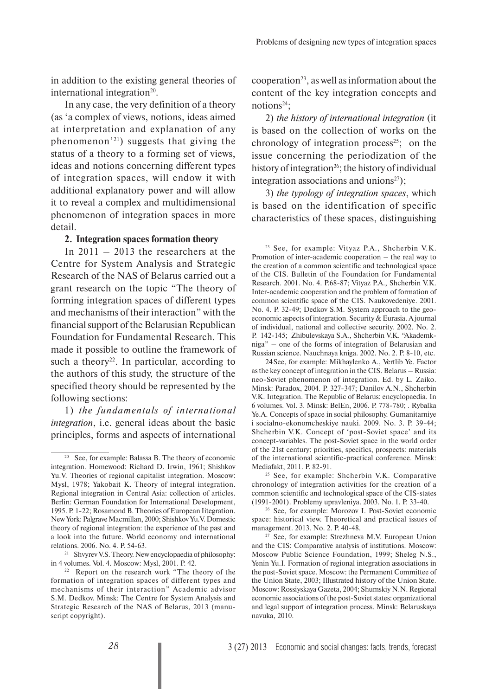in addition to the existing general theories of international integration<sup>20</sup>.

In any case, the very definition of a theory (as 'a complex of views, notions, ideas aimed at interpretation and explanation of any phenomenon'21) suggests that giving the status of a theory to a forming set of views, ideas and notions concerning different types of integration spaces, will endow it with additional explanatory power and will allow it to reveal a complex and multidimensional phenomenon of integration spaces in more detail.

#### **2. Integration spaces formation theory**

In 2011 – 2013 the researchers at the Centre for System Analysis and Strategic Research of the NAS of Belarus carried out a grant research on the topic "The theory of forming integration spaces of different types and mechanisms of their interaction" with the financial support of the Belarusian Republican Foundation for Fundamental Research. This made it possible to outline the framework of such a theory<sup>22</sup>. In particular, according to the authors of this study, the structure of the specified theory should be represented by the following sections:

1) *the fundamentals of international integration*, i.e. general ideas about the basic principles, forms and aspects of international

cooperation<sup>23</sup>, as well as information about the content of the key integration concepts and notions $24$ :

2) *the history of international integration* (it is based on the collection of works on the chronology of integration process<sup>25</sup>; on the issue concerning the periodization of the history of integration<sup>26</sup>; the history of individual integration associations and unions $27$ );

3) *the typology of integration spaces*, which is based on the identification of specific characteristics of these spaces, distinguishing

<sup>&</sup>lt;sup>20</sup> See, for example: Balassa B. The theory of economic integration. Homewood: Richard D. Irwin, 1961; Shishkov Yu.V. Theories of regional capitalist integration. Moscow: Mysl, 1978; Yakobait K. Theory of integral integration. Regional integration in Central Asia: collection of articles. Berlin: German Foundation for International Development, 1995. P. 1-22; Rosamond B. Theories of European Iitegration. New York: Palgrave Macmillan, 2000; Shishkov Yu.V. Domestic theory of regional integration: the experience of the past and a look into the future. World economy and international relations. 2006. No. 4. P. 54-63.

<sup>&</sup>lt;sup>21</sup> Shvyrev V.S. Theory. New encyclopaedia of philosophy: in 4 volumes. Vol. 4. Moscow: Mysl, 2001. P. 42.

<sup>&</sup>lt;sup>22</sup> Report on the research work "The theory of the formation of integration spaces of different types and mechanisms of their interaction" Academic advisor S.M. Dedkov. Minsk: The Centre for System Analysis and Strategic Research of the NAS of Belarus, 2013 (manuscript copyright).

<sup>23</sup> See, for example: Vityaz P.A., Shcherbin V.K. Promotion of inter-academic cooperation – the real way to the creation of a common scientific and technological space of the CIS. Bulletin of the Foundation for Fundamental Research. 2001. No. 4. P.68-87; Vityaz P.A., Shcherbin V.K. Inter-academic cooperation and the problem of formation of common scientific space of the CIS. Naukovedeniye. 2001. No. 4. P. 32-49; Dedkov S.M. System approach to the geoeconomic aspects of integration. Security & Eurasia. A journal of individual, national and collective security. 2002. No. 2. P. 142-145; Zhibulevskaya S.A., Shcherbin V.K. "Akademkniga" – one of the forms of integration of Belarusian and Russian science. Nauchnaya kniga. 2002. No. 2. P. 8-10, etc.

<sup>24</sup> See, for example: Mikhaylenko A., Vertlib Ye. Factor as the key concept of integration in the CIS. Belarus – Russia: neo-Soviet phenomenon of integration. Ed. by L. Zaiko. Minsk: Paradox, 2004. P. 327-347; Danilov A.N., Shcherbin V.K. Integration. The Republic of Belarus: encyclopaedia. In 6 volumes. Vol. 3. Minsk: BelEn, 2006. P. 778-780; . Rybalka Ye.A. Concepts of space in social philosophy. Gumanitarniye i socialno-ekonomcheskiye nauki. 2009. No. 3. P. 39-44; Shcherbin V.K. Concept of 'post-Soviet space' and its concept-variables. The post-Soviet space in the world order of the 21st century: priorities, specifics, prospects: materials of the international scientific-practical conference. Minsk: Mediafakt, 2011. P. 82-91.

<sup>25</sup> See, for example: Shcherbin V.K. Comparative chronology of integration activities for the creation of a common scientific and technological space of the CIS-states (1991-2001). Problemy upravleniya. 2003. No. 1. P. 33-40.

<sup>26</sup> See, for example: Morozov I. Post-Soviet economic space: historical view. Theoretical and practical issues of management. 2013. No. 2. P. 40-48.

 $27$  See, for example: Strezhneva M.V. European Union and the CIS: Comparative analysis of institutions. Moscow: Moscow Public Science Foundation, 1999; Sheleg N.S., Yenin Yu.I. Formation of regional integration associations in the post-Soviet space. Moscow: the Permanent Committee of the Union State, 2003; Illustrated history of the Union State. Moscow: Rossiyskaya Gazeta, 2004; Shumskiy N.N. Regional economic associations of the post-Soviet states: organizational and legal support of integration process. Minsk: Belaruskaya navuka, 2010.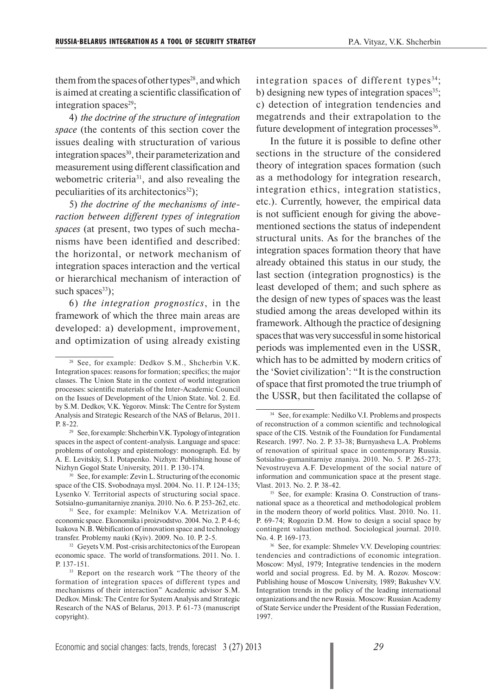them from the spaces of other types<sup>28</sup>, and which is aimed at creating a scientific classification of integration spaces<sup>29</sup>;

4) *the doctrine of the structure of integration space* (the contents of this section cover the issues dealing with structuration of various integration spaces<sup>30</sup>, their parameterization and measurement using different classification and webometric criteria<sup>31</sup>, and also revealing the peculiarities of its architectonics<sup>32</sup>);

5) *the doctrine of the mechanisms of interaction between different types of integration spaces* (at present, two types of such mechanisms have been identified and described: the horizontal, or network mechanism of integration spaces interaction and the vertical or hierarchical mechanism of interaction of such spaces $^{33}$ );

6) *the integration prognostics*, in the framework of which the three main areas are developed: a) development, improvement, and optimization of using already existing integration spaces of different types<sup>34</sup>; b) designing new types of integration spaces  $35$ ; c) detection of integration tendencies and megatrends and their extrapolation to the future development of integration processes<sup>36</sup>.

In the future it is possible to define other sections in the structure of the considered theory of integration spaces formation (such as a methodology for integration research, integration ethics, integration statistics, etc.). Currently, however, the empirical data is not sufficient enough for giving the abovementioned sections the status of independent structural units. As for the branches of the integration spaces formation theory that have already obtained this status in our study, the last section (integration prognostics) is the least developed of them; and such sphere as the design of new types of spaces was the least studied among the areas developed within its framework. Although the practice of designing spaces that was very successful in some historical periods was implemented even in the USSR, which has to be admitted by modern critics of the 'Soviet civilization': "It is the construction of space that first promoted the true triumph of the USSR, but then facilitated the collapse of

<sup>28</sup> See, for example: Dedkov S.M., Shcherbin V.K. Integration spaces: reasons for formation; specifics; the major classes. The Union State in the context of world integration processes: scientific materials of the Inter-Academic Council on the Issues of Development of the Union State. Vol. 2. Ed. by S.M. Dedkov, V.K. Yegorov. Minsk: The Centre for System Analysis and Strategic Research of the NAS of Belarus, 2011. P. 8-22.

<sup>29</sup> See, for example: Shcherbin V.K. Typology of integration spaces in the aspect of content-analysis. Language and space: problems of ontology and epistemology: monograph. Ed. by A. E. Levitskiy, S.I. Potapenko. Nizhyn: Publishing house of Nizhyn Gogol State University, 2011. P. 130-174.

<sup>30</sup> See, for example: Zevin L. Structuring of the economic space of the CIS. Svobodnaya mysl. 2004. No. 11. P. 124-135; Lysenko V. Territorial aspects of structuring social space. Sotsialno-gumanitarniye znaniya. 2010. No. 6. P. 253-262, etc.

<sup>&</sup>lt;sup>31</sup> See, for example: Melnikov V.A. Metrization of economic space. Ekonomika i proizvodstvo. 2004. No. 2. P. 4-6; Isakova N.B. Webification of innovation space and technology transfer. Problemy nauki (Kyiv). 2009. No. 10. P. 2-5.

<sup>&</sup>lt;sup>32</sup> Geyets V.M. Post-crisis architectonics of the European economic space. The world of transformations. 2011. No. 1. P. 137-151.

<sup>&</sup>lt;sup>33</sup> Report on the research work "The theory of the formation of integration spaces of different types and mechanisms of their interaction" Academic advisor S.M. Dedkov. Minsk: The Centre for System Analysis and Strategic Research of the NAS of Belarus, 2013. P. 61-73 (manuscript copyright).

<sup>&</sup>lt;sup>34</sup> See, for example: Nedilko V.I. Problems and prospects of reconstruction of a common scientific and technological space of the CIS. Vestnik of the Foundation for Fundamental Research. 1997. No. 2. P. 33-38; Burnyasheva L.A. Problems of renovation of spiritual space in contemporary Russia. Sotsialno-gumanitarniye znaniya. 2010. No. 5. P. 265-273; Nevostruyeva A.F. Development of the social nature of information and communication space at the present stage. Vlast. 2013. No. 2. P. 38-42.

<sup>35</sup> See, for example: Krasina O. Construction of transnational space as a theoretical and methodological problem in the modern theory of world politics. Vlast. 2010. No. 11. P. 69-74; Rogozin D.M. How to design a social space by contingent valuation method. Sociological journal. 2010. No. 4. P. 169-173.

<sup>&</sup>lt;sup>36</sup> See, for example: Shmelev V.V. Developing countries: tendencies and contradictions of economic integration. Moscow: Mysl, 1979; Integrative tendencies in the modern world and social progress. Ed. by M. A. Rozov. Moscow: Publishing house of Moscow University, 1989; Bakushev V.V. Integration trends in the policy of the leading international organizations and the new Russia. Moscow: Russian Academy of State Service under the President of the Russian Federation, 1997.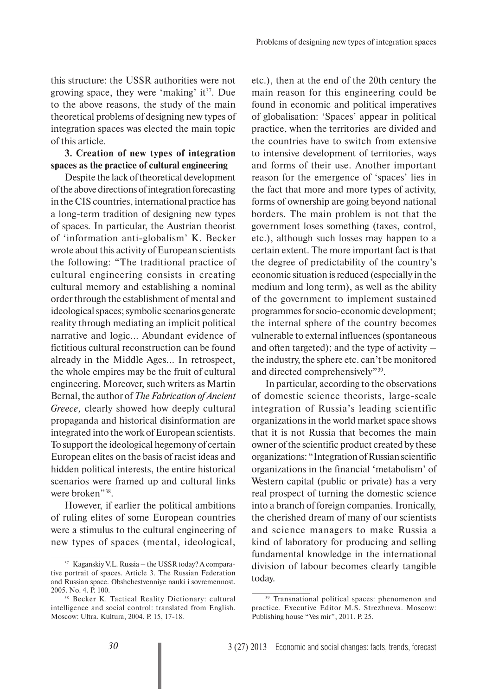this structure: the USSR authorities were not growing space, they were 'making' it $3^7$ . Due to the above reasons, the study of the main theoretical problems of designing new types of integration spaces was elected the main topic of this article.

### **3. Creation of new types of integration spaces as the practice of cultural engineering**

Despite the lack of theoretical development of the above directions of integration forecasting in the CIS countries, international practice has a long-term tradition of designing new types of spaces. In particular, the Austrian theorist of 'information anti-globalism' K. Becker wrote about this activity of European scientists the following: "The traditional practice of cultural engineering consists in creating cultural memory and establishing a nominal order through the establishment of mental and ideological spaces; symbolic scenarios generate reality through mediating an implicit political narrative and logic... Abundant evidence of fictitious cultural reconstruction can be found already in the Middle Ages... In retrospect, the whole empires may be the fruit of cultural engineering. Moreover, such writers as Martin Bernal, the author of *The Fabrication of Ancient Greece,* clearly showed how deeply cultural propaganda and historical disinformation are integrated into the work of European scientists. To support the ideological hegemony of certain European elites on the basis of racist ideas and hidden political interests, the entire historical scenarios were framed up and cultural links were broken"<sup>38</sup>.

However, if earlier the political ambitions of ruling elites of some European countries were a stimulus to the cultural engineering of new types of spaces (mental, ideological,

etc.), then at the end of the 20th century the main reason for this engineering could be found in economic and political imperatives of globalisation: 'Spaces' appear in political practice, when the territories are divided and the countries have to switch from extensive to intensive development of territories, ways and forms of their use. Another important reason for the emergence of 'spaces' lies in the fact that more and more types of activity, forms of ownership are going beyond national borders. The main problem is not that the government loses something (taxes, control, etc.), although such losses may happen to a certain extent. The more important fact is that the degree of predictability of the country's economic situation is reduced (especially in the medium and long term), as well as the ability of the government to implement sustained programmes for socio-economic development; the internal sphere of the country becomes vulnerable to external influences (spontaneous and often targeted); and the type of activity – the industry, the sphere etc. can't be monitored and directed comprehensively"39.

In particular, according to the observations of domestic science theorists, large-scale integration of Russia's leading scientific organizations in the world market space shows that it is not Russia that becomes the main owner of the scientific product created by these organizations: "Integration of Russian scientific organizations in the financial 'metabolism' of Western capital (public or private) has a very real prospect of turning the domestic science into a branch of foreign companies. Ironically, the cherished dream of many of our scientists and science managers to make Russia a kind of laboratory for producing and selling fundamental knowledge in the international division of labour becomes clearly tangible today.

<sup>37</sup> Kaganskiy V.L. Russia – the USSR today? A comparative portrait of spaces. Article 3. The Russian Federation and Russian space. Obshchestvenniye nauki i sovremennost. 2005. No. 4. P. 100.

<sup>38</sup> Becker K. Tactical Reality Dictionary: cultural intelligence and social control: translated from English. Moscow: Ultra. Kultura, 2004. P. 15, 17-18.

<sup>&</sup>lt;sup>39</sup> Transnational political spaces: phenomenon and practice. Executive Editor M.S. Strezhneva. Moscow: Publishing house "Ves mir", 2011. P. 25.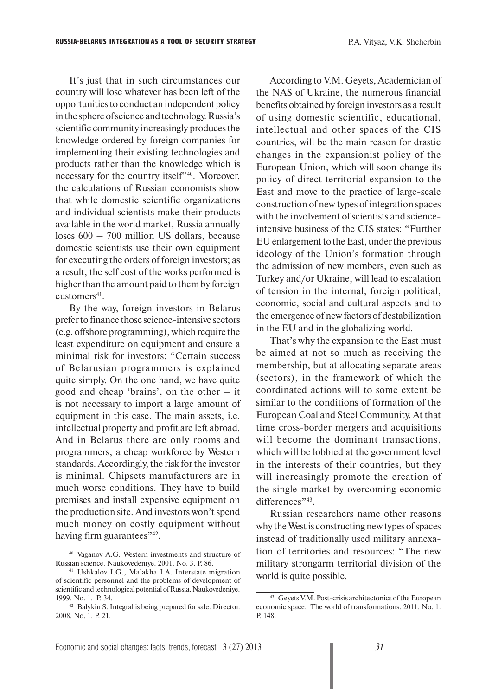It's just that in such circumstances our country will lose whatever has been left of the opportunities to conduct an independent policy in the sphere of science and technology. Russia's scientific community increasingly produces the knowledge ordered by foreign companies for implementing their existing technologies and products rather than the knowledge which is necessary for the country itself"40. Moreover, the calculations of Russian economists show that while domestic scientific organizations and individual scientists make their products available in the world market, Russia annually loses 600 – 700 million US dollars, because domestic scientists use their own equipment for executing the orders of foreign investors; as a result, the self cost of the works performed is higher than the amount paid to them by foreign  $cutomers<sup>41</sup>$ .

By the way, foreign investors in Belarus prefer to finance those science-intensive sectors (e.g. offshore programming), which require the least expenditure on equipment and ensure a minimal risk for investors: "Certain success of Belarusian programmers is explained quite simply. On the one hand, we have quite good and cheap 'brains', on the other – it is not necessary to import a large amount of equipment in this case. The main assets, i.e. intellectual property and profit are left abroad. And in Belarus there are only rooms and programmers, a cheap workforce by Western standards. Accordingly, the risk for the investor is minimal. Chipsets manufacturers are in much worse conditions. They have to build premises and install expensive equipment on the production site. And investors won't spend much money on costly equipment without having firm guarantees"<sup>42</sup>.

According to V.M. Geyets, Academician of the NAS of Ukraine, the numerous financial benefits obtained by foreign investors as a result of using domestic scientific, educational, intellectual and other spaces of the CIS countries, will be the main reason for drastic changes in the expansionist policy of the European Union, which will soon change its policy of direct territorial expansion to the East and move to the practice of large-scale construction of new types of integration spaces with the involvement of scientists and scienceintensive business of the CIS states: "Further EU enlargement to the East, under the previous ideology of the Union's formation through the admission of new members, even such as Turkey and/or Ukraine, will lead to escalation of tension in the internal, foreign political, economic, social and cultural aspects and to the emergence of new factors of destabilization in the EU and in the globalizing world.

That's why the expansion to the East must be aimed at not so much as receiving the membership, but at allocating separate areas (sectors), in the framework of which the coordinated actions will to some extent be similar to the conditions of formation of the European Coal and Steel Community. At that time cross-border mergers and acquisitions will become the dominant transactions, which will be lobbied at the government level in the interests of their countries, but they will increasingly promote the creation of the single market by overcoming economic differences"<sup>43</sup>.

Russian researchers name other reasons why the West is constructing new types of spaces instead of traditionally used military annexation of territories and resources: "The new military strongarm territorial division of the world is quite possible.

<sup>40</sup> Vaganov A.G. Western investments and structure of Russian science. Naukovedeniye. 2001. No. 3. P. 86.

<sup>41</sup> Ushkalov I.G., Malakha I.A. Interstate migration of scientific personnel and the problems of development of scientific and technological potential of Russia. Naukovedeniye. 1999. No. 1. P. 34.

<sup>42</sup> Balykin S. Integral is being prepared for sale. Director. 2008. No. 1. P. 21.

<sup>43</sup> Geyets V.M. Post-crisis architectonics of the European economic space. The world of transformations. 2011. No. 1. P. 148.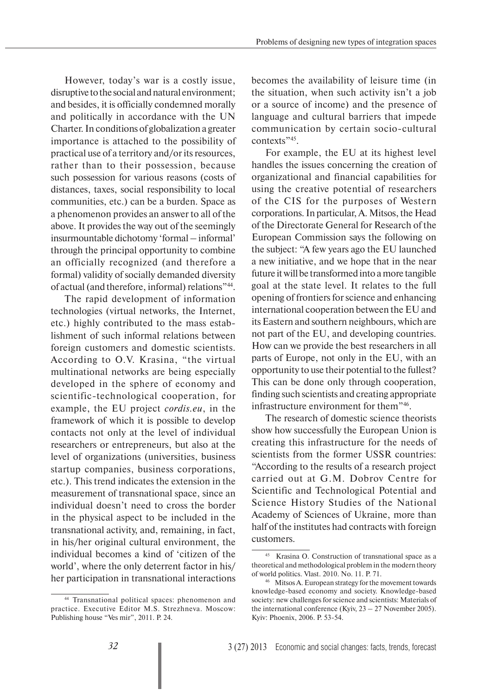However, today's war is a costly issue, disruptive to the social and natural environment; and besides, it is officially condemned morally and politically in accordance with the UN Charter. In conditions of globalization a greater importance is attached to the possibility of practical use of a territory and/or its resources, rather than to their possession, because such possession for various reasons (costs of distances, taxes, social responsibility to local communities, etc.) can be a burden. Space as a phenomenon provides an answer to all of the above. It provides the way out of the seemingly insurmountable dichotomy 'formal – informal' through the principal opportunity to combine an officially recognized (and therefore a formal) validity of socially demanded diversity of actual (and therefore, informal) relations"44.

The rapid development of information technologies (virtual networks, the Internet, etc.) highly contributed to the mass establishment of such informal relations between foreign customers and domestic scientists. According to O.V. Krasina, "the virtual multinational networks are being especially developed in the sphere of economy and scientific-technological cooperation, for example, the EU project *cordis.eu*, in the framework of which it is possible to develop contacts not only at the level of individual researchers or entrepreneurs, but also at the level of organizations (universities, business startup companies, business corporations, etc.). This trend indicates the extension in the measurement of transnational space, since an individual doesn't need to cross the border in the physical aspect to be included in the transnational activity, and, remaining, in fact, in his/her original cultural environment, the individual becomes a kind of 'citizen of the world', where the only deterrent factor in his/ her participation in transnational interactions becomes the availability of leisure time (in the situation, when such activity isn't a job or a source of income) and the presence of language and cultural barriers that impede communication by certain socio-cultural contexts"<sup>45</sup>.

For example, the EU at its highest level handles the issues concerning the creation of organizational and financial capabilities for using the creative potential of researchers of the CIS for the purposes of Western corporations. In particular, A. Mitsos, the Head of the Directorate General for Research of the European Commission says the following on the subject: "A few years ago the EU launched a new initiative, and we hope that in the near future it will be transformed into a more tangible goal at the state level. It relates to the full opening of frontiers for science and enhancing international cooperation between the EU and its Eastern and southern neighbours, which are not part of the EU, and developing countries. How can we provide the best researchers in all parts of Europe, not only in the EU, with an opportunity to use their potential to the fullest? This can be done only through cooperation, finding such scientists and creating appropriate infrastructure environment for them"46.

The research of domestic science theorists show how successfully the European Union is creating this infrastructure for the needs of scientists from the former USSR countries: "According to the results of a research project carried out at G.M. Dobrov Centre for Scientific and Technological Potential and Science History Studies of the National Academy of Sciences of Ukraine, more than half of the institutes had contracts with foreign customers.

<sup>44</sup> Transnational political spaces: phenomenon and practice. Executive Editor M.S. Strezhneva. Moscow: Publishing house "Ves mir", 2011. P. 24.

Krasina O. Construction of transnational space as a theoretical and methodological problem in the modern theory of world politics. Vlast. 2010. No. 11. P. 71.

<sup>46</sup> Mitsos A. European strategy for the movement towards knowledge-based economy and society. Knowledge-based society: new challenges for science and scientists: Materials of the international conference (Kyiv, 23 – 27 November 2005). Kyiv: Phoenix, 2006. P. 53-54.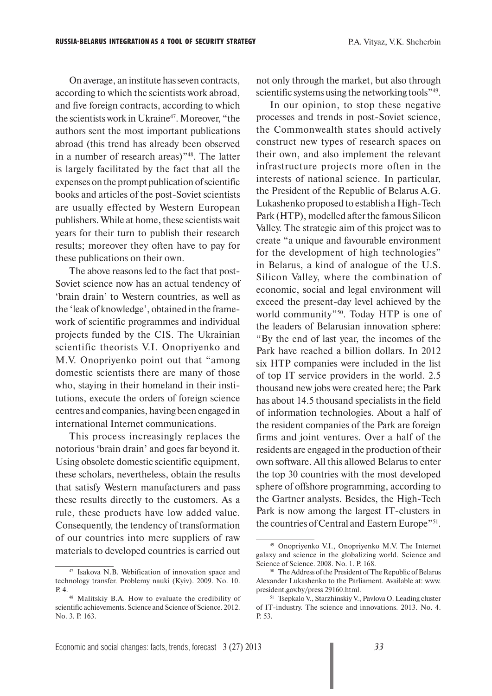On average, an institute has seven contracts, according to which the scientists work abroad, and five foreign contracts, according to which the scientists work in Ukraine<sup>47</sup>. Moreover, "the authors sent the most important publications abroad (this trend has already been observed in a number of research areas)"48. The latter is largely facilitated by the fact that all the expenses on the prompt publication of scientific books and articles of the post-Soviet scientists are usually effected by Western European publishers. While at home, these scientists wait years for their turn to publish their research results; moreover they often have to pay for these publications on their own.

The above reasons led to the fact that post-Soviet science now has an actual tendency of 'brain drain' to Western countries, as well as the 'leak of knowledge', obtained in the framework of scientific programmes and individual projects funded by the CIS. The Ukrainian scientific theorists V.I. Onopriyenko and M.V. Onopriyenko point out that "among domestic scientists there are many of those who, staying in their homeland in their institutions, execute the orders of foreign science centres and companies, having been engaged in international Internet communications.

This process increasingly replaces the notorious 'brain drain' and goes far beyond it. Using obsolete domestic scientific equipment, these scholars, nevertheless, obtain the results that satisfy Western manufacturers and pass these results directly to the customers. As a rule, these products have low added value. Consequently, the tendency of transformation of our countries into mere suppliers of raw materials to developed countries is carried out

not only through the market, but also through scientific systems using the networking tools"<sup>49</sup>.

In our opinion, to stop these negative processes and trends in post-Soviet science, the Commonwealth states should actively construct new types of research spaces on their own, and also implement the relevant infrastructure projects more often in the interests of national science. In particular, the President of the Republic of Belarus A.G. Lukashenko proposed to establish a High-Tech Park (HTP), modelled after the famous Silicon Valley. The strategic aim of this project was to create "a unique and favourable environment for the development of high technologies" in Belarus, a kind of analogue of the U.S. Silicon Valley, where the combination of economic, social and legal environment will exceed the present-day level achieved by the world community"<sup>50</sup>. Today HTP is one of the leaders of Belarusian innovation sphere: "By the end of last year, the incomes of the Park have reached a billion dollars. In 2012 six HTP companies were included in the list of top IT service providers in the world. 2.5 thousand new jobs were created here; the Park has about 14.5 thousand specialists in the field of information technologies. About a half of the resident companies of the Park are foreign firms and joint ventures. Over a half of the residents are engaged in the production of their own software. All this allowed Belarus to enter the top 30 countries with the most developed sphere of offshore programming, according to the Gartner analysts. Besides, the High-Tech Park is now among the largest IT-clusters in the countries of Central and Eastern Europe"51.

<sup>47</sup> Isakova N.B. Webification of innovation space and technology transfer. Problemy nauki (Kyiv). 2009. No. 10. P. 4.

<sup>48</sup> Malitskiy B.A. How to evaluate the credibility of scientific achievements. Science and Science of Science. 2012. No. 3. P. 163.

<sup>49</sup> Onopriyenko V.I., Onopriyenko M.V. The Internet galaxy and science in the globalizing world. Science and Science of Science. 2008. No. 1. P. 168.

<sup>50</sup> The Address of the President of The Republic of Belarus Alexander Lukashenko to the Parliament. Available at: www. president.gov.by/press 29160.html.

<sup>&</sup>lt;sup>51</sup> Tsepkalo V., Starzhinskiy V., Pavlova O. Leading cluster of IT-industry. The science and innovations. 2013. No. 4. P. 53.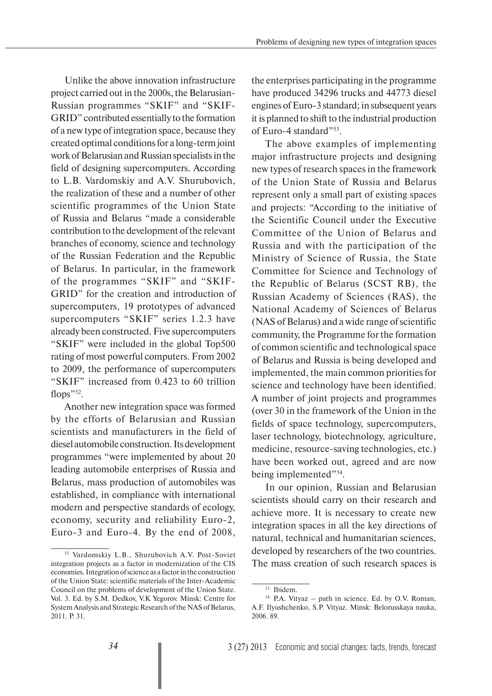Unlike the above innovation infrastructure project carried out in the 2000s, the Belarusian-Russian programmes "SKIF" and "SKIF-GRID" contributed essentially to the formation of a new type of integration space, because they created optimal conditions for a long-term joint work of Belarusian and Russian specialists in the field of designing supercomputers. According to L.B. Vardomskiy and A.V. Shurubovich, the realization of these and a number of other scientific programmes of the Union State of Russia and Belarus "made a considerable contribution to the development of the relevant branches of economy, science and technology of the Russian Federation and the Republic of Belarus. In particular, in the framework of the programmes "SKIF" and "SKIF-GRID" for the creation and introduction of supercomputers, 19 prototypes of advanced supercomputers "SKIF" series 1.2.3 have already been constructed. Five supercomputers "SKIF" were included in the global Top500 rating of most powerful computers. From 2002 to 2009, the performance of supercomputers "SKIF" increased from 0.423 to 60 trillion flops"52.

Another new integration space was formed by the efforts of Belarusian and Russian scientists and manufacturers in the field of diesel automobile construction. Its development programmes "were implemented by about 20 leading automobile enterprises of Russia and Belarus, mass production of automobiles was established, in compliance with international modern and perspective standards of ecology, economy, security and reliability Euro-2, Euro-3 and Euro-4. By the end of 2008,

the enterprises participating in the programme have produced 34296 trucks and 44773 diesel engines of Euro-3 standard; in subsequent years it is planned to shift to the industrial production of Euro-4 standard"<sup>53</sup>.

The above examples of implementing major infrastructure projects and designing new types of research spaces in the framework of the Union State of Russia and Belarus represent only a small part of existing spaces and projects: "According to the initiative of the Scientific Council under the Executive Committee of the Union of Belarus and Russia and with the participation of the Ministry of Science of Russia, the State Committee for Science and Technology of the Republic of Belarus (SCST RB), the Russian Academy of Sciences (RAS), the National Academy of Sciences of Belarus (NAS of Belarus) and a wide range of scientific community, the Programme for the formation of common scientific and technological space of Belarus and Russia is being developed and implemented, the main common priorities for science and technology have been identified. A number of joint projects and programmes (over 30 in the framework of the Union in the fields of space technology, supercomputers, laser technology, biotechnology, agriculture, medicine, resource-saving technologies, etc.) have been worked out, agreed and are now being implemented"<sup>54</sup>.

In our opinion, Russian and Belarusian scientists should carry on their research and achieve more. It is necessary to create new integration spaces in all the key directions of natural, technical and humanitarian sciences, developed by researchers of the two countries. The mass creation of such research spaces is

<sup>52</sup> Vardomskiy L.B., Shurubovich A.V. Post-Soviet integration projects as a factor in modernization of the CIS economies. Integration of science as a factor in the construction of the Union State: scientific materials of the Inter-Academic Council on the problems of development of the Union State. Vol. 3. Ed. by S.M. Dedkov, V.K Yegorov. Minsk: Centre for System Analysis and Strategic Research of the NAS of Belarus, 2011. P. 31.

<sup>53</sup> Ibidem.

 $54$  P.A. Vityaz – path in science. Ed. by O.V. Roman, A.F. Ilyushchenko, S.P. Vityaz. Minsk: Belorusskaya nauka, 2006. 89.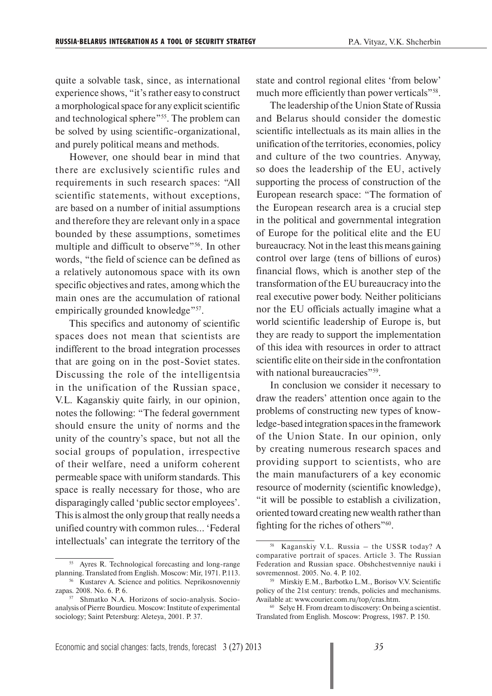quite a solvable task, since, as international experience shows, "it's rather easy to construct a morphological space for any explicit scientific and technological sphere"<sup>55</sup>. The problem can be solved by using scientific-organizational, and purely political means and methods.

However, one should bear in mind that there are exclusively scientific rules and requirements in such research spaces: "All scientific statements, without exceptions, are based on a number of initial assumptions and therefore they are relevant only in a space bounded by these assumptions, sometimes multiple and difficult to observe<sup>"56</sup>. In other words, "the field of science can be defined as a relatively autonomous space with its own specific objectives and rates, among which the main ones are the accumulation of rational empirically grounded knowledge"<sup>57</sup>.

This specifics and autonomy of scientific spaces does not mean that scientists are indifferent to the broad integration processes that are going on in the post-Soviet states. Discussing the role of the intelligentsia in the unification of the Russian space, V.L. Kaganskiy quite fairly, in our opinion, notes the following: "The federal government should ensure the unity of norms and the unity of the country's space, but not all the social groups of population, irrespective of their welfare, need a uniform coherent permeable space with uniform standards. This space is really necessary for those, who are disparagingly called 'public sector employees'. This is almost the only group that really needs a unified country with common rules... 'Federal intellectuals' can integrate the territory of the state and control regional elites 'from below' much more efficiently than power verticals"<sup>58</sup>.

The leadership of the Union State of Russia and Belarus should consider the domestic scientific intellectuals as its main allies in the unification of the territories, economies, policy and culture of the two countries. Anyway, so does the leadership of the EU, actively supporting the process of construction of the European research space: "The formation of the European research area is a crucial step in the political and governmental integration of Europe for the political elite and the EU bureaucracy. Not in the least this means gaining control over large (tens of billions of euros) financial flows, which is another step of the transformation of the EU bureaucracy into the real executive power body. Neither politicians nor the EU officials actually imagine what a world scientific leadership of Europe is, but they are ready to support the implementation of this idea with resources in order to attract scientific elite on their side in the confrontation with national bureaucracies"<sup>59</sup>.

In conclusion we consider it necessary to draw the readers' attention once again to the problems of constructing new types of knowledge-based integration spaces in the framework of the Union State. In our opinion, only by creating numerous research spaces and providing support to scientists, who are the main manufacturers of a key economic resource of modernity (scientific knowledge), "it will be possible to establish a civilization, oriented toward creating new wealth rather than fighting for the riches of others"60.

<sup>55</sup> Ayres R. Technological forecasting and long-range planning. Translated from English. Moscow: Mir, 1971. P.113. 56 Kustarev A. Science and politics. Neprikosnovenniy zapas. 2008. No. 6. P. 6.

<sup>57</sup> Shmatko N.A. Horizons of socio-analysis. Socioanalysis of Pierre Bourdieu. Moscow: Institute of experimental sociology; Saint Petersburg: Aleteya, 2001. P. 37.

<sup>58</sup> Kaganskiy V.L. Russia – the USSR today? A comparative portrait of spaces. Article 3. The Russian Federation and Russian space. Obshchestvenniye nauki i sovremennost. 2005. No. 4. P. 102.

<sup>59</sup> Mirskiy E.М., Barbotko L.M., Borisov V.V. Scientific policy of the 21st century: trends, policies and mechanisms. Available at: www.courier.com.ru/top/cras.htm.

<sup>60</sup> Selye H. From dream to discovery: On being a scientist. Translated from English. Moscow: Progress, 1987. P. 150.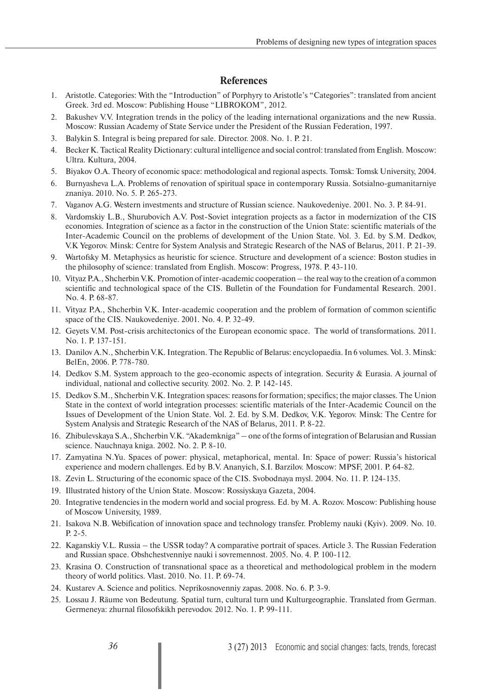### **References**

- 1. Aristotle. Categories: With the "Introduction" of Porphyry to Aristotle's "Categories": translated from ancient Greek. 3rd ed. Moscow: Publishing House "LIBROKOM", 2012.
- 2. Bakushev V.V. Integration trends in the policy of the leading international organizations and the new Russia. Moscow: Russian Academy of State Service under the President of the Russian Federation, 1997.
- 3. Balykin S. Integral is being prepared for sale. Director. 2008. No. 1. P. 21.
- 4. Becker K. Tactical Reality Dictionary: cultural intelligence and social control: translated from English. Moscow: Ultra. Kultura, 2004.
- 5. Biyakov O.A. Theory of economic space: methodological and regional aspects. Tomsk: Tomsk University, 2004.
- 6. Burnyasheva L.A. Problems of renovation of spiritual space in contemporary Russia. Sotsialno-gumanitarniye znaniya. 2010. No. 5. P. 265-273.
- 7. Vaganov A.G. Western investments and structure of Russian science. Naukovedeniye. 2001. No. 3. P. 84-91.
- 8. Vardomskiy L.B., Shurubovich A.V. Post-Soviet integration projects as a factor in modernization of the CIS economies. Integration of science as a factor in the construction of the Union State: scientific materials of the Inter-Academic Council on the problems of development of the Union State. Vol. 3. Ed. by S.M. Dedkov, V.K Yegorov. Minsk: Centre for System Analysis and Strategic Research of the NAS of Belarus, 2011. P. 21-39.
- 9. Wartofsky M. Metaphysics as heuristic for science. Structure and development of a science: Boston studies in the philosophy of science: translated from English. Moscow: Progress, 1978. P. 43-110.
- 10. Vityaz P.A., Shcherbin V.K. Promotion of inter-academic cooperation the real way to the creation of a common scientific and technological space of the CIS. Bulletin of the Foundation for Fundamental Research. 2001. No. 4. P. 68-87.
- 11. Vityaz P.A., Shcherbin V.K. Inter-academic cooperation and the problem of formation of common scientific space of the CIS. Naukovedeniye. 2001. No. 4. P. 32-49.
- 12. Geyets V.M. Post-crisis architectonics of the European economic space. The world of transformations. 2011. No. 1. P. 137-151.
- 13. Danilov A.N., Shcherbin V.K. Integration. The Republic of Belarus: encyclopaedia. In 6 volumes. Vol. 3. Minsk: BelEn, 2006. P. 778-780.
- 14. Dedkov S.M. System approach to the geo-economic aspects of integration. Security & Eurasia. A journal of individual, national and collective security. 2002. No. 2. P. 142-145.
- 15. Dedkov S.M., Shcherbin V.K. Integration spaces: reasons for formation; specifics; the major classes. The Union State in the context of world integration processes: scientific materials of the Inter-Academic Council on the Issues of Development of the Union State. Vol. 2. Ed. by S.M. Dedkov, V.K. Yegorov. Minsk: The Centre for System Analysis and Strategic Research of the NAS of Belarus, 2011. P. 8-22.
- 16. Zhibulevskaya S.A., Shcherbin V.K. "Akademkniga" one of the forms of integration of Belarusian and Russian science. Nauchnaya kniga. 2002. No. 2. P. 8-10.
- 17. Zamyatina N.Yu. Spaces of power: physical, metaphorical, mental. In: Space of power: Russia's historical experience and modern challenges. Ed by B.V. Ananyich, S.I. Barzilov. Moscow: MPSF, 2001. P. 64-82.
- 18. Zevin L. Structuring of the economic space of the CIS. Svobodnaya mysl. 2004. No. 11. P. 124-135.
- 19. Illustrated history of the Union State. Moscow: Rossiyskaya Gazeta, 2004.
- 20. Integrative tendencies in the modern world and social progress. Ed. by M. A. Rozov. Moscow: Publishing house of Moscow University, 1989.
- 21. Isakova N.B. Webification of innovation space and technology transfer. Problemy nauki (Kyiv). 2009. No. 10. P. 2-5.
- 22. Kaganskiy V.L. Russia the USSR today? A comparative portrait of spaces. Article 3. The Russian Federation and Russian space. Obshchestvenniye nauki i sovremennost. 2005. No. 4. P. 100-112.
- 23. Krasina O. Construction of transnational space as a theoretical and methodological problem in the modern theory of world politics. Vlast. 2010. No. 11. P. 69-74.
- 24. Kustarev A. Science and politics. Neprikosnovenniy zapas. 2008. No. 6. P. 3-9.
- 25. Lossau J. Räume von Bedeutung. Spatial turn, cultural turn und Kulturgeographie. Translated from German. Germeneya: zhurnal filosofskikh perevodov. 2012. No. 1. P. 99-111.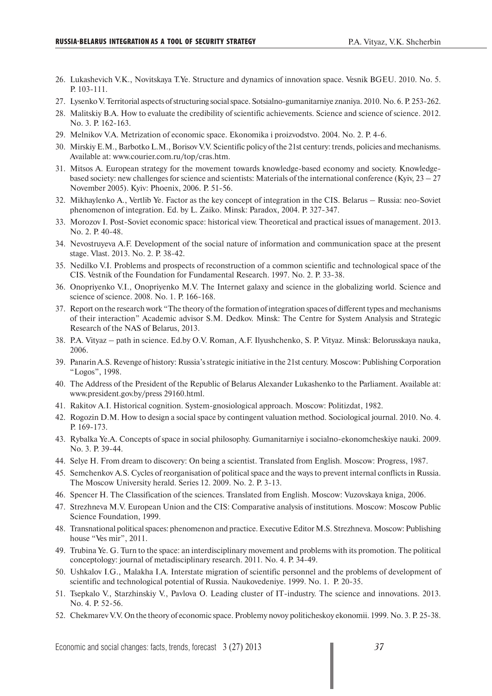- 26. Lukashevich V.K., Novitskaya T.Ye. Structure and dynamics of innovation space. Vesnik BGEU. 2010. No. 5. P. 103-111.
- 27. Lysenko V. Territorial aspects of structuring social space. Sotsialno-gumanitarniye znaniya. 2010. No. 6. P. 253-262.
- 28. Malitskiy B.A. How to evaluate the credibility of scientific achievements. Science and science of science. 2012. No. 3. P. 162-163.
- 29. Melnikov V.A. Metrization of economic space. Ekonomika i proizvodstvo. 2004. No. 2. P. 4-6.
- 30. Mirskiy E.М., Barbotko L.M., Borisov V.V. Scientific policy of the 21st century: trends, policies and mechanisms. Available at: www.courier.com.ru/top/cras.htm.
- 31. Mitsos A. European strategy for the movement towards knowledge-based economy and society. Knowledgebased society: new challenges for science and scientists: Materials of the international conference (Kyiy,  $23 - 27$ ) November 2005). Kyiv: Phoenix, 2006. P. 51-56.
- 32. Mikhaylenko A., Vertlib Ye. Factor as the key concept of integration in the CIS. Belarus Russia: neo-Soviet phenomenon of integration. Ed. by L. Zaiko. Minsk: Paradox, 2004. P. 327-347.
- 33. Morozov I. Post-Soviet economic space: historical view. Theoretical and practical issues of management. 2013. No. 2. P. 40-48.
- 34. Nevostruyeva A.F. Development of the social nature of information and communication space at the present stage. Vlast. 2013. No. 2. P. 38-42.
- 35. Nedilko V.I. Problems and prospects of reconstruction of a common scientific and technological space of the CIS. Vestnik of the Foundation for Fundamental Research. 1997. No. 2. P. 33-38.
- 36. Onopriyenko V.I., Onopriyenko M.V. The Internet galaxy and science in the globalizing world. Science and science of science. 2008. No. 1. P. 166-168.
- 37. Report on the research work "The theory of the formation of integration spaces of different types and mechanisms of their interaction" Academic advisor S.M. Dedkov. Minsk: The Centre for System Analysis and Strategic Research of the NAS of Belarus, 2013.
- 38. P.A. Vityaz path in science. Ed.by O.V. Roman, A.F. Ilyushchenko, S. P. Vityaz. Minsk: Belorusskaya nauka, 2006.
- 39. Panarin A.S. Revenge of history: Russia's strategic initiative in the 21st century. Moscow: Publishing Corporation "Logos", 1998.
- 40. The Address of the President of the Republic of Belarus Alexander Lukashenko to the Parliament. Available at: www.president.gov.by/press 29160.html.
- 41. Rakitov A.I. Historical cognition. System-gnosiological approach. Moscow: Politizdat, 1982.
- 42. Rogozin D.M. How to design a social space by contingent valuation method. Sociological journal. 2010. No. 4. P. 169-173.
- 43. Rybalka Ye.A. Concepts of space in social philosophy. Gumanitarniye i socialno-ekonomcheskiye nauki. 2009. No. 3. P. 39-44.
- 44. Selye H. From dream to discovery: On being a scientist. Translated from English. Moscow: Progress, 1987.
- 45. Semchenkov A.S. Cycles of reorganisation of political space and the ways to prevent internal conflicts in Russia. The Moscow University herald. Series 12. 2009. No. 2. P. 3-13.
- 46. Spencer H. The Classification of the sciences. Translated from English. Moscow: Vuzovskaya kniga, 2006.
- 47. Strezhneva M.V. European Union and the CIS: Comparative analysis of institutions. Moscow: Moscow Public Science Foundation, 1999.
- 48. Transnational political spaces: phenomenon and practice. Executive Editor M.S. Strezhneva. Moscow: Publishing house "Ves mir", 2011.
- 49. Trubina Ye. G. Turn to the space: an interdisciplinary movement and problems with its promotion. The political conceptology: journal of metadisciplinary research. 2011. No. 4. P. 34-49.
- 50. Ushkalov I.G., Malakha I.A. Interstate migration of scientific personnel and the problems of development of scientific and technological potential of Russia. Naukovedeniye. 1999. No. 1. P. 20-35.
- 51. Tsepkalo V., Starzhinskiy V., Pavlova O. Leading cluster of IT-industry. The science and innovations. 2013. No. 4. P. 52-56.
- 52. Chekmarev V.V. On the theory of economic space. Problemy novoy politicheskoy ekonomii. 1999. No. 3. P. 25-38.